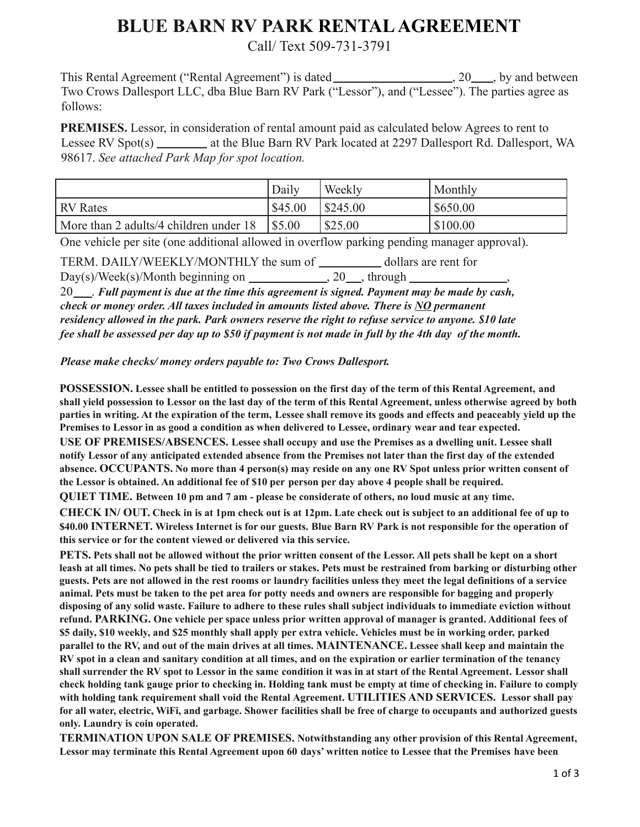# **BLUE BARN RV PARK RENTALAGREEMENT**

Call/ Text 509-731-3791

This Rental Agreement ("Rental Agreement") is dated \_\_\_\_\_\_\_\_\_\_\_\_\_\_\_\_\_\_\_\_\_\_\_\_\_\_\_\_\_, 20 , by and between Two Crows Dallesport LLC, dba Blue Barn RV Park ("Lessor"), and ("Lessee"). The parties agree as follows:

**PREMISES.** Lessor, in consideration of rental amount paid as calculated below Agrees to rent to Lessee RV Spot(s) \_\_\_\_\_\_\_\_\_ at the Blue Barn RV Park located at 2297 Dallesport Rd. Dallesport, WA 98617. *See attached Park Map for spot location.*

|                                        | Daily            | Weekly              | Monthly  |
|----------------------------------------|------------------|---------------------|----------|
| <b>RV</b> Rates                        | \$45.00          | $\frac{$245.00}{ }$ | \$650.00 |
| More than 2 adults/4 children under 18 | $\frac{1}{5.00}$ | \$25.00             | \$100.00 |

One vehicle per site (one additional allowed in overflow parking pending manager approval).

TERM. DAILY/WEEKLY/MONTHLY the sum of \_\_\_\_\_\_\_\_\_\_\_ dollars are rent for

 $Day(s)/Week(s)/Month$  beginning on  $\_\_\_\_$ , 20 , through

20 . *Full payment is due at the time this agreement is signed. Payment may be made by cash, check or money order. All taxes included in amounts listed above. There is NO permanent residency allowed in the park. Park owners reserve the right to refuse service to anyone. \$10 late* fee shall be assessed per day up to \$50 if payment is not made in full by the 4th day of the month.

#### *Please make checks/ money orders payable to: Two Crows Dallesport.*

POSSESSION. Lessee shall be entitled to possession on the first day of the term of this Rental Agreement, and shall yield possession to Lessor on the last day of the term of this Rental Agreement, unless otherwise agreed by both parties in writing. At the expiration of the term, Lessee shall remove its goods and effects and peaceably yield up the Premises to Lessor in as good a condition as when delivered to Lessee, ordinary wear and tear expected.

**USE OF PREMISES/ABSENCES. Lessee shall occupy and use the Premises as a dwelling unit. Lessee shall** notify Lessor of any anticipated extended absence from the Premises not later than the first day of the extended absence. OCCUPANTS. No more than 4 person(s) may reside on any one RV Spot unless prior written consent of the Lessor is obtained. An additional fee of \$10 per person per day above 4 people shall be required.

QUIET TIME. Between 10 pm and 7 am - please be considerate of others, no loud music at any time.

CHECK IN/OUT. Check in is at 1pm check out is at 12pm. Late check out is subject to an additional fee of up to \$40.00 INTERNET. Wireless Internet is for our guests. Blue Barn RV Park is not responsible for the operation of **this service or for the content viewed or delivered via this service.**

PETS. Pets shall not be allowed without the prior written consent of the Lessor. All pets shall be kept on a short leash at all times. No pets shall be tied to trailers or stakes. Pets must be restrained from barking or disturbing other guests. Pets are not allowed in the rest rooms or laundry facilities unless they meet the legal definitions of a service animal. Pets must be taken to the pet area for potty needs and owners are responsible for bagging and properly disposing of any solid waste. Failure to adhere to these rules shall subject individuals to immediate eviction without refund. PARKING. One vehicle per space unless prior written approval of manager is granted. Additional fees of \$5 daily, \$10 weekly, and \$25 monthly shall apply per extra vehicle. Vehicles must be in working order, parked parallel to the RV, and out of the main drives at all times. MAINTENANCE. Lessee shall keep and maintain the RV spot in a clean and sanitary condition at all times, and on the expiration or earlier termination of the tenancy shall surrender the RV spot to Lessor in the same condition it was in at start of the Rental Agreement. Lessor shall check holding tank gauge prior to checking in. Holding tank must be empty at time of checking in. Failure to comply **with holding tank requirement shall void the Rental Agreement. UTILITIES AND SERVICES. Lessor shall pay** for all water, electric, WiFi, and garbage. Shower facilities shall be free of charge to occupants and authorized guests **only. Laundry is coin operated.**

**TERMINATION UPON SALE OF PREMISES. Notwithstanding any other provision of this Rental Agreement,** Lessor may terminate this Rental Agreement upon 60 days' written notice to Lessee that the Premises have been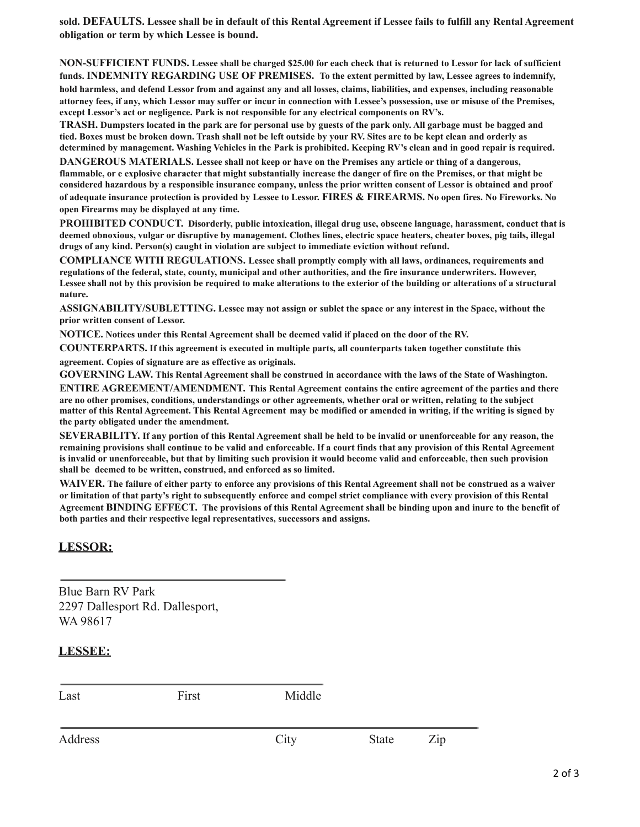sold. DEFAULTS. Lessee shall be in default of this Rental Agreement if Lessee fails to fulfill any Rental Agreement **obligation or term by which Lessee is bound.**

**NON-SUFFICIENT FUNDS. Lessee shall be charged \$25.00 for each check that is returned to Lessor for lack of sufficient funds. INDEMNITY REGARDING USE OF PREMISES. To the extent permitted by law, Lessee agrees to indemnify,**

**hold harmless, and defend Lessor from and against any and all losses, claims, liabilities, and expenses, including reasonable attorney fees, if any, which Lessor may suffer or incur in connection with Lessee's possession, use or misuse of the Premises, except Lessor's act or negligence. Park is not responsible for any electrical components on RV's.**

**TRASH. Dumpsters located in the park are for personal use by guests of the park only. All garbage must be bagged and tied. Boxes must be broken down. Trash shall not be left outside by your RV. Sites are to be kept clean and orderly as determined by management. Washing Vehicles in the Park is prohibited. Keeping RV's clean and in good repair is required.**

**DANGEROUS MATERIALS. Lessee shall not keep or have on the Premises any article or thing of a dangerous, flammable, or e explosive character that might substantially increase the danger of fire on the Premises, or that might be considered hazardous by a responsible insurance company, unless the prior written consent of Lessor is obtained and proof of adequate insurance protection is provided by Lessee to Lessor. FIRES & FIREARMS. No open fires. No Fireworks. No open Firearms may be displayed at any time.**

**PROHIBITED CONDUCT. Disorderly, public intoxication, illegal drug use, obscene language, harassment, conduct that is deemed obnoxious, vulgar or disruptive by management. Clothes lines, electric space heaters, cheater boxes, pig tails, illegal drugs of any kind. Person(s) caught in violation are subject to immediate eviction without refund.**

**COMPLIANCE WITH REGULATIONS. Lessee shall promptly comply with all laws, ordinances, requirements and regulations of the federal, state, county, municipal and other authorities, and the fire insurance underwriters. However, Lessee shall not by this provision be required to make alterations to the exterior of the building or alterations of a structural nature.**

**ASSIGNABILITY/SUBLETTING. Lessee may not assign or sublet the space or any interest in the Space, without the prior written consent of Lessor.**

**NOTICE. Notices under this Rental Agreement shall be deemed valid if placed on the door of the RV.**

**COUNTERPARTS. If this agreement is executed in multiple parts, all counterparts taken together constitute this agreement. Copies of signature are as effective as originals.**

**GOVERNING LAW. This Rental Agreement shall be construed in accordance with the laws of the State of Washington. ENTIRE AGREEMENT/AMENDMENT. This Rental Agreement contains the entire agreement of the parties and there are no other promises, conditions, understandings or other agreements, whether oral or written, relating to the subject matter of this Rental Agreement. This Rental Agreement may be modified or amended in writing, if the writing is signed by the party obligated under the amendment.**

**SEVERABILITY. If any portion of this Rental Agreement shall be held to be invalid or unenforceable for any reason, the remaining provisions shall continue to be valid and enforceable. If a court finds that any provision of this Rental Agreement is invalid or unenforceable, but that by limiting such provision it would become valid and enforceable, then such provision shall be deemed to be written, construed, and enforced as so limited.**

**WAIVER. The failure of either party to enforce any provisions of this Rental Agreement shall not be construed as a waiver or limitation of that party's right to subsequently enforce and compel strict compliance with every provision of this Rental Agreement BINDING EFFECT. The provisions of this Rental Agreement shall be binding upon and inure to the benefit of both parties and their respective legal representatives, successors and assigns.**

#### **LESSOR:**

Blue Barn RV Park 2297 Dallesport Rd. Dallesport, WA 98617

#### **LESSEE:**

| Last    | First | Middle |              |     |
|---------|-------|--------|--------------|-----|
|         |       |        |              |     |
| Address |       | City   | <b>State</b> | Zip |